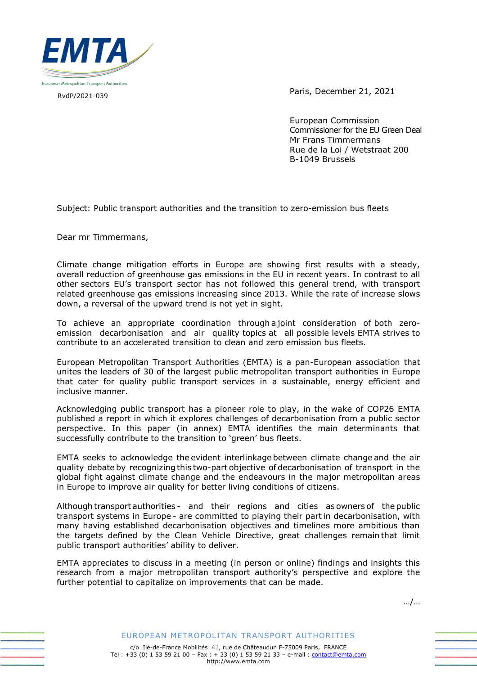

RvdP/2021-039

Paris, December 21, 2021

European Commission Commissioner for the EU Green Deal Mr Frans Timmermans Rue de la Loi / Wetstraat 200 B-1049 Brussels

Subject: Public transport authorities and the transition to zero-emission bus fleets

Dear mr Timmermans,

Climate change mitigation efforts in Europe are showing first results with a steady, overall reduction of greenhouse gas emissions in the EU in recent years. In contrast to all other sectors EU's transport sector has not followed this general trend, with transport related greenhouse gas emissions increasing since 2013. While the rate of increase slows down, a reversal of the upward trend is not yet in sight.

To achieve an appropriate coordination through a joint consideration of both zeroemission decarbonisation and air quality topics at all possible levels EMTA strives to contribute to an accelerated transition to clean and zero emission bus fleets.

European Metropolitan Transport Authorities (EMTA) is a pan-European association that unites the leaders of 30 of the largest public metropolitan transport authorities in Europe that cater for quality public transport services in a sustainable, energy efficient and inclusive manner.

Acknowledging public transport has a pioneer role to play, in the wake of COP26 EMTA published a report in which it explores challenges of decarbonisation from a public sector perspective. In this paper (in annex) EMTA identifies the main determinants that successfully contribute to the transition to 'green' bus fleets.

EMTA seeks to acknowledge the evident interlinkage between climate change and the air quality debate by recognizing this two-part objective of decarbonisation of transport in the global fight against climate change and the endeavours in the major metropolitan areas in Europe to improve air quality for better living conditions of citizens.

Although transport authorities - and their regions and cities as owners of the public transport systems in Europe - are committed to playing their partin decarbonisation, with many having established decarbonisation objectives and timelines more ambitious than the targets defined by the Clean Vehicle Directive, great challenges remain that limit public transport authorities' ability to deliver. 

EMTA appreciates to discuss in a meeting (in person or online) findings and insights this research from a major metropolitan transport authority's perspective and explore the further potential to capitalize on improvements that can be made.

…/…

EUROPEAN METROPOLITAN TRANSPORT AUTHORITIES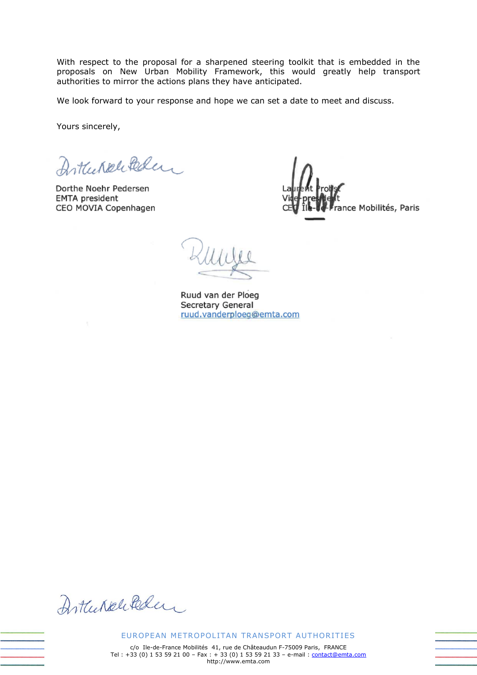With respect to the proposal for a sharpened steering toolkit that is embedded in the proposals on New Urban Mobility Framework, this would greatly help transport authorities to mirror the actions plans they have anticipated.

We look forward to your response and hope we can set a date to meet and discuss.

Yours sincerely,

the Nelikder

Dorthe Noehr Pedersen **EMTA** president CEO MOVIA Copenhagen

ce Mobilités, Paris

Ruud van der Ploeg Secretary General ruud.vanderploeg@emta.com

Anthenselleden

EUROPEAN METROPOLITAN TRANSPORT AUTHORITIES

c/o Ile-de-France Mobilités 41, rue de Châteaudun F-75009 Paris, FRANCE Tel : +33 (0) 1 53 59 21 00 - Fax : + 33 (0) 1 53 59 21 33 - e-mail : [contact@emta.com](mailto:contact@emta.com) http://www.emta.com